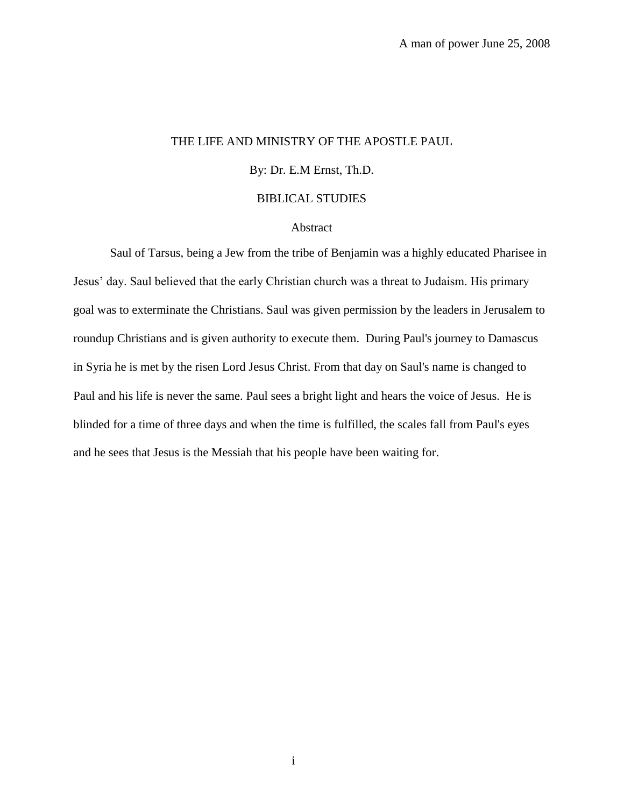## THE LIFE AND MINISTRY OF THE APOSTLE PAUL

## By: Dr. E.M Ernst, Th.D.

#### BIBLICAL STUDIES

#### Abstract

Saul of Tarsus, being a Jew from the tribe of Benjamin was a highly educated Pharisee in Jesus' day. Saul believed that the early Christian church was a threat to Judaism. His primary goal was to exterminate the Christians. Saul was given permission by the leaders in Jerusalem to roundup Christians and is given authority to execute them. During Paul's journey to Damascus in Syria he is met by the risen Lord Jesus Christ. From that day on Saul's name is changed to Paul and his life is never the same. Paul sees a bright light and hears the voice of Jesus. He is blinded for a time of three days and when the time is fulfilled, the scales fall from Paul's eyes and he sees that Jesus is the Messiah that his people have been waiting for.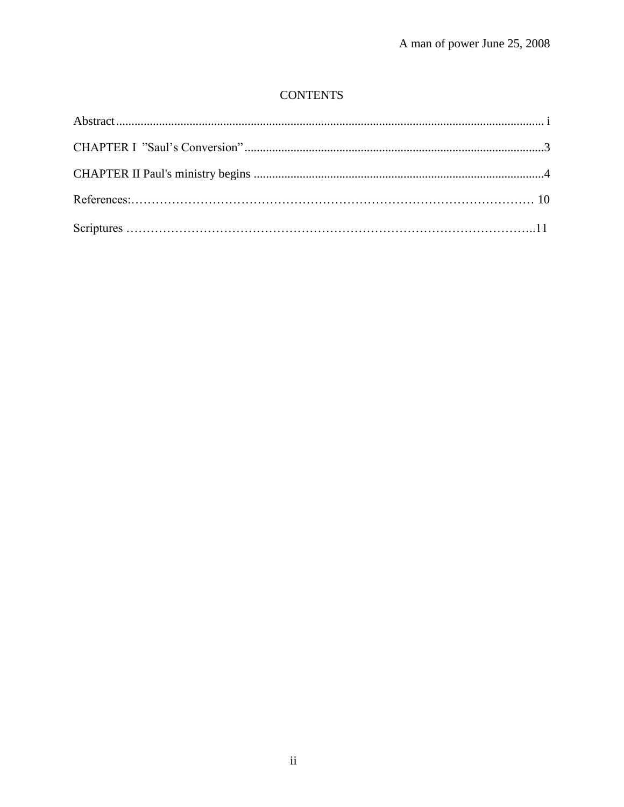# **CONTENTS**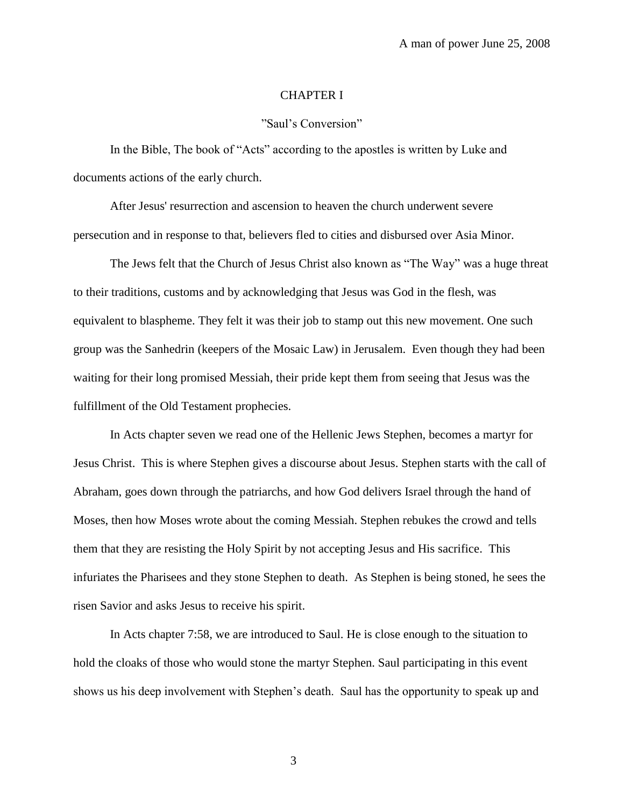## CHAPTER I

## "Saul's Conversion"

In the Bible, The book of "Acts" according to the apostles is written by Luke and documents actions of the early church.

After Jesus' resurrection and ascension to heaven the church underwent severe persecution and in response to that, believers fled to cities and disbursed over Asia Minor.

The Jews felt that the Church of Jesus Christ also known as "The Way" was a huge threat to their traditions, customs and by acknowledging that Jesus was God in the flesh, was equivalent to blaspheme. They felt it was their job to stamp out this new movement. One such group was the Sanhedrin (keepers of the Mosaic Law) in Jerusalem. Even though they had been waiting for their long promised Messiah, their pride kept them from seeing that Jesus was the fulfillment of the Old Testament prophecies.

In Acts chapter seven we read one of the Hellenic Jews Stephen, becomes a martyr for Jesus Christ. This is where Stephen gives a discourse about Jesus. Stephen starts with the call of Abraham, goes down through the patriarchs, and how God delivers Israel through the hand of Moses, then how Moses wrote about the coming Messiah. Stephen rebukes the crowd and tells them that they are resisting the Holy Spirit by not accepting Jesus and His sacrifice. This infuriates the Pharisees and they stone Stephen to death. As Stephen is being stoned, he sees the risen Savior and asks Jesus to receive his spirit.

In Acts chapter 7:58, we are introduced to Saul. He is close enough to the situation to hold the cloaks of those who would stone the martyr Stephen. Saul participating in this event shows us his deep involvement with Stephen's death. Saul has the opportunity to speak up and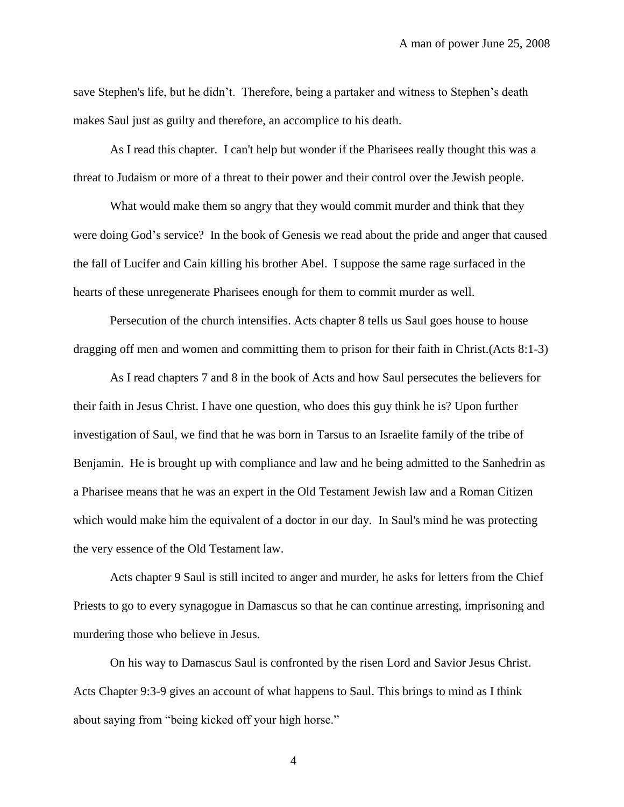save Stephen's life, but he didn't. Therefore, being a partaker and witness to Stephen's death makes Saul just as guilty and therefore, an accomplice to his death.

As I read this chapter. I can't help but wonder if the Pharisees really thought this was a threat to Judaism or more of a threat to their power and their control over the Jewish people.

What would make them so angry that they would commit murder and think that they were doing God's service? In the book of Genesis we read about the pride and anger that caused the fall of Lucifer and Cain killing his brother Abel. I suppose the same rage surfaced in the hearts of these unregenerate Pharisees enough for them to commit murder as well.

Persecution of the church intensifies. Acts chapter 8 tells us Saul goes house to house dragging off men and women and committing them to prison for their faith in Christ.(Acts 8:1-3)

As I read chapters 7 and 8 in the book of Acts and how Saul persecutes the believers for their faith in Jesus Christ. I have one question, who does this guy think he is? Upon further investigation of Saul, we find that he was born in Tarsus to an Israelite family of the tribe of Benjamin. He is brought up with compliance and law and he being admitted to the Sanhedrin as a Pharisee means that he was an expert in the Old Testament Jewish law and a Roman Citizen which would make him the equivalent of a doctor in our day. In Saul's mind he was protecting the very essence of the Old Testament law.

Acts chapter 9 Saul is still incited to anger and murder, he asks for letters from the Chief Priests to go to every synagogue in Damascus so that he can continue arresting, imprisoning and murdering those who believe in Jesus.

On his way to Damascus Saul is confronted by the risen Lord and Savior Jesus Christ. Acts Chapter 9:3-9 gives an account of what happens to Saul. This brings to mind as I think about saying from "being kicked off your high horse."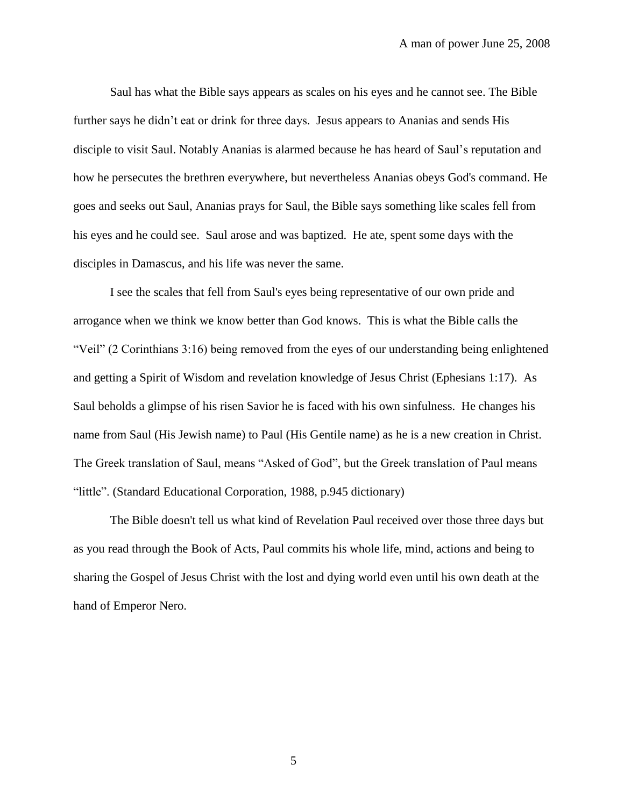Saul has what the Bible says appears as scales on his eyes and he cannot see. The Bible further says he didn't eat or drink for three days. Jesus appears to Ananias and sends His disciple to visit Saul. Notably Ananias is alarmed because he has heard of Saul's reputation and how he persecutes the brethren everywhere, but nevertheless Ananias obeys God's command. He goes and seeks out Saul, Ananias prays for Saul, the Bible says something like scales fell from his eyes and he could see. Saul arose and was baptized. He ate, spent some days with the disciples in Damascus, and his life was never the same.

I see the scales that fell from Saul's eyes being representative of our own pride and arrogance when we think we know better than God knows. This is what the Bible calls the "Veil" (2 Corinthians 3:16) being removed from the eyes of our understanding being enlightened and getting a Spirit of Wisdom and revelation knowledge of Jesus Christ (Ephesians 1:17). As Saul beholds a glimpse of his risen Savior he is faced with his own sinfulness. He changes his name from Saul (His Jewish name) to Paul (His Gentile name) as he is a new creation in Christ. The Greek translation of Saul, means "Asked of God", but the Greek translation of Paul means "little". (Standard Educational Corporation, 1988, p.945 dictionary)

The Bible doesn't tell us what kind of Revelation Paul received over those three days but as you read through the Book of Acts, Paul commits his whole life, mind, actions and being to sharing the Gospel of Jesus Christ with the lost and dying world even until his own death at the hand of Emperor Nero.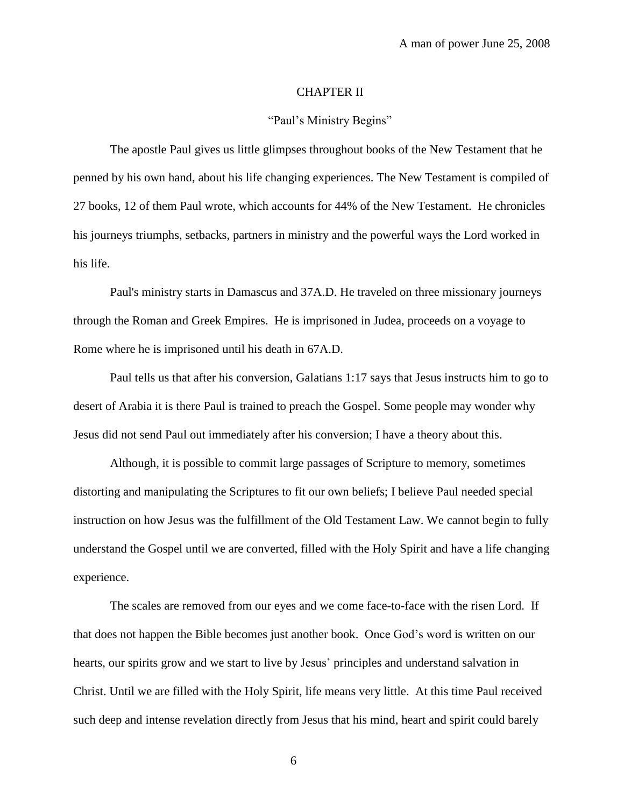## CHAPTER II

#### "Paul's Ministry Begins"

The apostle Paul gives us little glimpses throughout books of the New Testament that he penned by his own hand, about his life changing experiences. The New Testament is compiled of 27 books, 12 of them Paul wrote, which accounts for 44% of the New Testament. He chronicles his journeys triumphs, setbacks, partners in ministry and the powerful ways the Lord worked in his life.

Paul's ministry starts in Damascus and 37A.D. He traveled on three missionary journeys through the Roman and Greek Empires. He is imprisoned in Judea, proceeds on a voyage to Rome where he is imprisoned until his death in 67A.D.

Paul tells us that after his conversion, Galatians 1:17 says that Jesus instructs him to go to desert of Arabia it is there Paul is trained to preach the Gospel. Some people may wonder why Jesus did not send Paul out immediately after his conversion; I have a theory about this.

Although, it is possible to commit large passages of Scripture to memory, sometimes distorting and manipulating the Scriptures to fit our own beliefs; I believe Paul needed special instruction on how Jesus was the fulfillment of the Old Testament Law. We cannot begin to fully understand the Gospel until we are converted, filled with the Holy Spirit and have a life changing experience.

The scales are removed from our eyes and we come face-to-face with the risen Lord. If that does not happen the Bible becomes just another book. Once God's word is written on our hearts, our spirits grow and we start to live by Jesus' principles and understand salvation in Christ. Until we are filled with the Holy Spirit, life means very little. At this time Paul received such deep and intense revelation directly from Jesus that his mind, heart and spirit could barely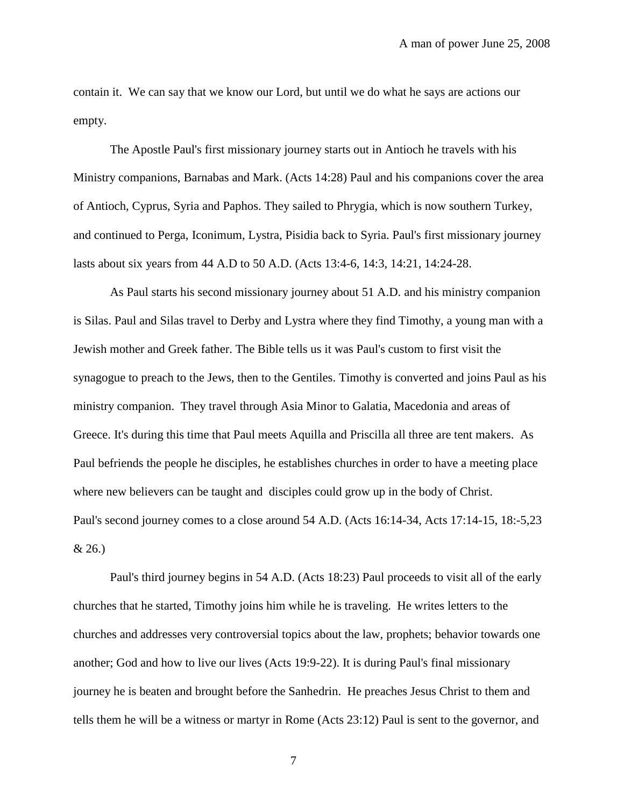contain it. We can say that we know our Lord, but until we do what he says are actions our empty.

The Apostle Paul's first missionary journey starts out in Antioch he travels with his Ministry companions, Barnabas and Mark. (Acts 14:28) Paul and his companions cover the area of Antioch, Cyprus, Syria and Paphos. They sailed to Phrygia, which is now southern Turkey, and continued to Perga, Iconimum, Lystra, Pisidia back to Syria. Paul's first missionary journey lasts about six years from 44 A.D to 50 A.D. (Acts 13:4-6, 14:3, 14:21, 14:24-28.

As Paul starts his second missionary journey about 51 A.D. and his ministry companion is Silas. Paul and Silas travel to Derby and Lystra where they find Timothy, a young man with a Jewish mother and Greek father. The Bible tells us it was Paul's custom to first visit the synagogue to preach to the Jews, then to the Gentiles. Timothy is converted and joins Paul as his ministry companion. They travel through Asia Minor to Galatia, Macedonia and areas of Greece. It's during this time that Paul meets Aquilla and Priscilla all three are tent makers. As Paul befriends the people he disciples, he establishes churches in order to have a meeting place where new believers can be taught and disciples could grow up in the body of Christ. Paul's second journey comes to a close around 54 A.D. (Acts 16:14-34, Acts 17:14-15, 18:-5,23 & 26.)

Paul's third journey begins in 54 A.D. (Acts 18:23) Paul proceeds to visit all of the early churches that he started, Timothy joins him while he is traveling. He writes letters to the churches and addresses very controversial topics about the law, prophets; behavior towards one another; God and how to live our lives (Acts 19:9-22). It is during Paul's final missionary journey he is beaten and brought before the Sanhedrin. He preaches Jesus Christ to them and tells them he will be a witness or martyr in Rome (Acts 23:12) Paul is sent to the governor, and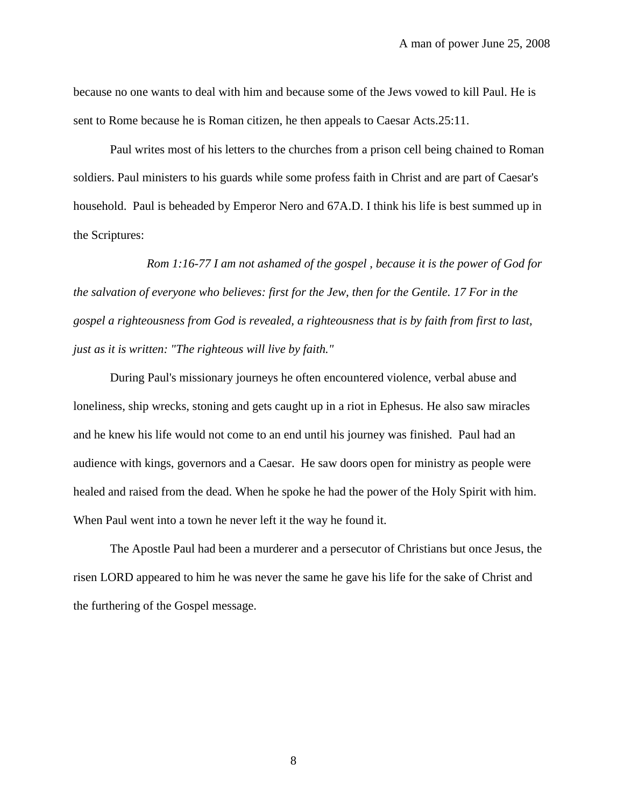because no one wants to deal with him and because some of the Jews vowed to kill Paul. He is sent to Rome because he is Roman citizen, he then appeals to Caesar Acts.25:11.

Paul writes most of his letters to the churches from a prison cell being chained to Roman soldiers. Paul ministers to his guards while some profess faith in Christ and are part of Caesar's household. Paul is beheaded by Emperor Nero and 67A.D. I think his life is best summed up in the Scriptures:

*Rom 1:16-77 I am not ashamed of the gospel , because it is the power of God for the salvation of everyone who believes: first for the Jew, then for the Gentile. 17 For in the gospel a righteousness from God is revealed, a righteousness that is by faith from first to last, just as it is written: "The righteous will live by faith."* 

During Paul's missionary journeys he often encountered violence, verbal abuse and loneliness, ship wrecks, stoning and gets caught up in a riot in Ephesus. He also saw miracles and he knew his life would not come to an end until his journey was finished. Paul had an audience with kings, governors and a Caesar. He saw doors open for ministry as people were healed and raised from the dead. When he spoke he had the power of the Holy Spirit with him. When Paul went into a town he never left it the way he found it.

The Apostle Paul had been a murderer and a persecutor of Christians but once Jesus, the risen LORD appeared to him he was never the same he gave his life for the sake of Christ and the furthering of the Gospel message.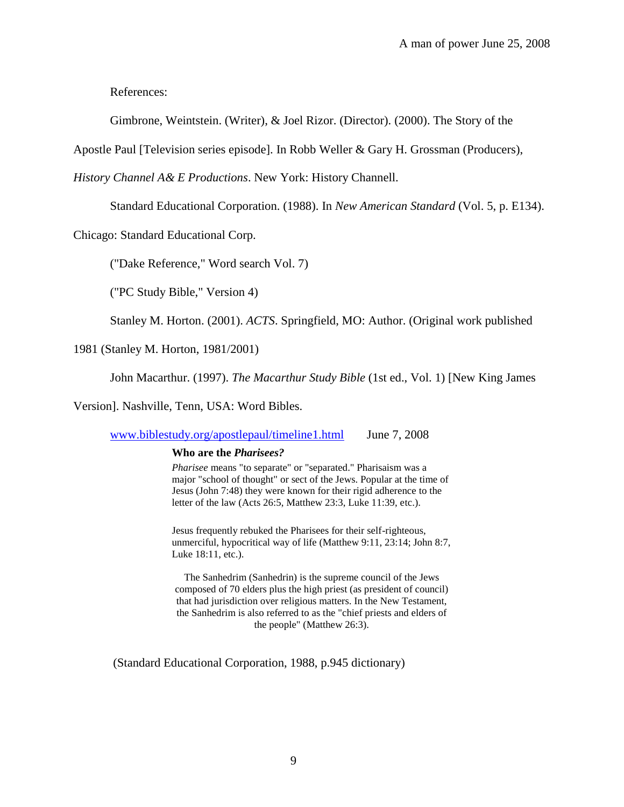References:

Gimbrone, Weintstein. (Writer), & Joel Rizor. (Director). (2000). The Story of the

Apostle Paul [Television series episode]. In Robb Weller & Gary H. Grossman (Producers),

*History Channel A& E Productions*. New York: History Channell.

Standard Educational Corporation. (1988). In *New American Standard* (Vol. 5, p. E134).

Chicago: Standard Educational Corp.

("Dake Reference," Word search Vol. 7)

("PC Study Bible," Version 4)

Stanley M. Horton. (2001). *ACTS*. Springfield, MO: Author. (Original work published

1981 (Stanley M. Horton, 1981/2001)

John Macarthur. (1997). *The Macarthur Study Bible* (1st ed., Vol. 1) [New King James

Version]. Nashville, Tenn, USA: Word Bibles.

[www.biblestudy.org/apostlepaul/timeline1.html](http://www.biblestudy.org/apostlepaul/timeline1.html) June 7, 2008

#### **Who are the** *Pharisees?*

*Pharisee* means "to separate" or "separated." Pharisaism was a major "school of thought" or sect of the Jews. Popular at the time of Jesus (John 7:48) they were known for their rigid adherence to the letter of the law (Acts 26:5, Matthew 23:3, Luke 11:39, etc.).

Jesus frequently rebuked the Pharisees for their self-righteous, unmerciful, hypocritical way of life (Matthew 9:11, 23:14; John 8:7, Luke 18:11, etc.).

The Sanhedrim (Sanhedrin) is the supreme council of the Jews composed of 70 elders plus the high priest (as president of council) that had jurisdiction over religious matters. In the New Testament, the Sanhedrim is also referred to as the "chief priests and elders of the people" (Matthew 26:3).

(Standard Educational Corporation, 1988, p.945 dictionary)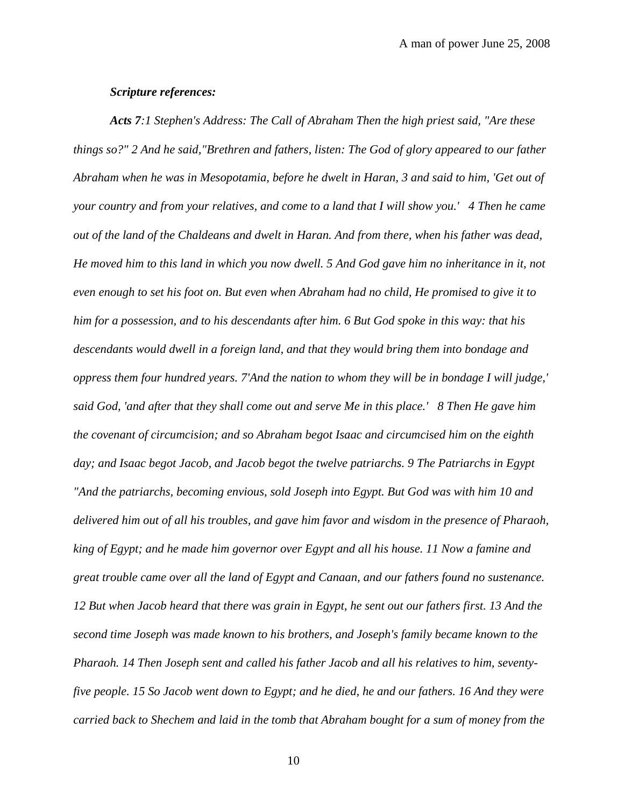### *Scripture references:*

*Acts 7:1 Stephen's Address: The Call of Abraham Then the high priest said, "Are these things so?" 2 And he said,"Brethren and fathers, listen: The God of glory appeared to our father Abraham when he was in Mesopotamia, before he dwelt in Haran, 3 and said to him, 'Get out of your country and from your relatives, and come to a land that I will show you.' 4 Then he came out of the land of the Chaldeans and dwelt in Haran. And from there, when his father was dead, He moved him to this land in which you now dwell. 5 And God gave him no inheritance in it, not even enough to set his foot on. But even when Abraham had no child, He promised to give it to him for a possession, and to his descendants after him. 6 But God spoke in this way: that his descendants would dwell in a foreign land, and that they would bring them into bondage and oppress them four hundred years. 7'And the nation to whom they will be in bondage I will judge,' said God, 'and after that they shall come out and serve Me in this place.' 8 Then He gave him the covenant of circumcision; and so Abraham begot Isaac and circumcised him on the eighth day; and Isaac begot Jacob, and Jacob begot the twelve patriarchs. 9 The Patriarchs in Egypt "And the patriarchs, becoming envious, sold Joseph into Egypt. But God was with him 10 and delivered him out of all his troubles, and gave him favor and wisdom in the presence of Pharaoh, king of Egypt; and he made him governor over Egypt and all his house. 11 Now a famine and great trouble came over all the land of Egypt and Canaan, and our fathers found no sustenance. 12 But when Jacob heard that there was grain in Egypt, he sent out our fathers first. 13 And the second time Joseph was made known to his brothers, and Joseph's family became known to the Pharaoh. 14 Then Joseph sent and called his father Jacob and all his relatives to him, seventyfive people. 15 So Jacob went down to Egypt; and he died, he and our fathers. 16 And they were carried back to Shechem and laid in the tomb that Abraham bought for a sum of money from the*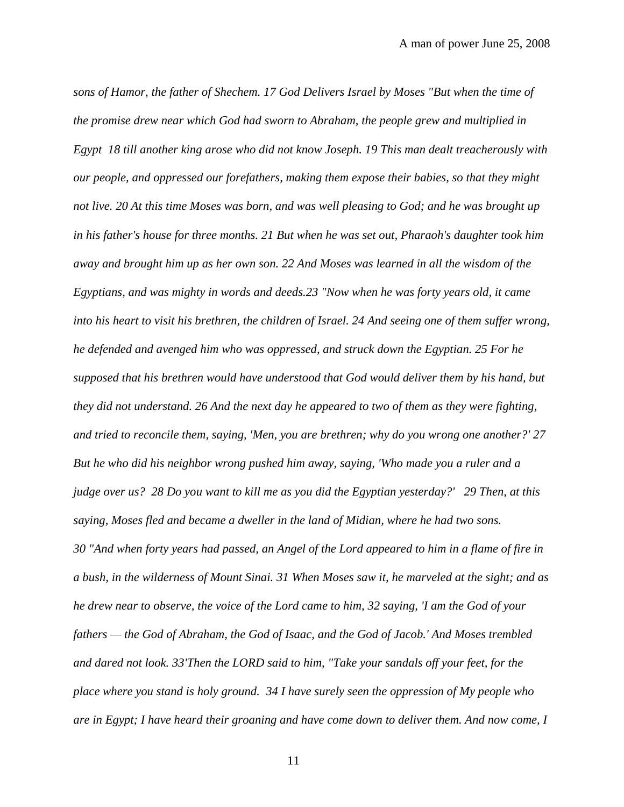*sons of Hamor, the father of Shechem. 17 God Delivers Israel by Moses "But when the time of the promise drew near which God had sworn to Abraham, the people grew and multiplied in Egypt 18 till another king arose who did not know Joseph. 19 This man dealt treacherously with our people, and oppressed our forefathers, making them expose their babies, so that they might not live. 20 At this time Moses was born, and was well pleasing to God; and he was brought up in his father's house for three months. 21 But when he was set out, Pharaoh's daughter took him away and brought him up as her own son. 22 And Moses was learned in all the wisdom of the Egyptians, and was mighty in words and deeds.23 "Now when he was forty years old, it came into his heart to visit his brethren, the children of Israel. 24 And seeing one of them suffer wrong, he defended and avenged him who was oppressed, and struck down the Egyptian. 25 For he supposed that his brethren would have understood that God would deliver them by his hand, but they did not understand. 26 And the next day he appeared to two of them as they were fighting, and tried to reconcile them, saying, 'Men, you are brethren; why do you wrong one another?' 27 But he who did his neighbor wrong pushed him away, saying, 'Who made you a ruler and a judge over us? 28 Do you want to kill me as you did the Egyptian yesterday?' 29 Then, at this saying, Moses fled and became a dweller in the land of Midian, where he had two sons. 30 "And when forty years had passed, an Angel of the Lord appeared to him in a flame of fire in a bush, in the wilderness of Mount Sinai. 31 When Moses saw it, he marveled at the sight; and as he drew near to observe, the voice of the Lord came to him, 32 saying, 'I am the God of your fathers — the God of Abraham, the God of Isaac, and the God of Jacob.' And Moses trembled and dared not look. 33'Then the LORD said to him, "Take your sandals off your feet, for the place where you stand is holy ground. 34 I have surely seen the oppression of My people who are in Egypt; I have heard their groaning and have come down to deliver them. And now come, I*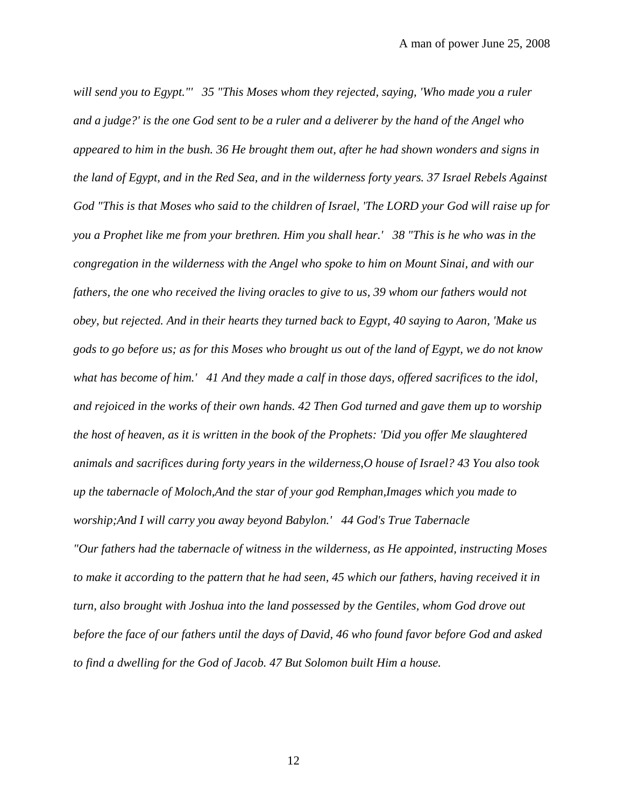*will send you to Egypt."' 35 "This Moses whom they rejected, saying, 'Who made you a ruler and a judge?' is the one God sent to be a ruler and a deliverer by the hand of the Angel who appeared to him in the bush. 36 He brought them out, after he had shown wonders and signs in the land of Egypt, and in the Red Sea, and in the wilderness forty years. 37 Israel Rebels Against God "This is that Moses who said to the children of Israel, 'The LORD your God will raise up for you a Prophet like me from your brethren. Him you shall hear.' 38 "This is he who was in the congregation in the wilderness with the Angel who spoke to him on Mount Sinai, and with our fathers, the one who received the living oracles to give to us, 39 whom our fathers would not obey, but rejected. And in their hearts they turned back to Egypt, 40 saying to Aaron, 'Make us gods to go before us; as for this Moses who brought us out of the land of Egypt, we do not know what has become of him.' 41 And they made a calf in those days, offered sacrifices to the idol, and rejoiced in the works of their own hands. 42 Then God turned and gave them up to worship the host of heaven, as it is written in the book of the Prophets: 'Did you offer Me slaughtered animals and sacrifices during forty years in the wilderness,O house of Israel? 43 You also took up the tabernacle of Moloch,And the star of your god Remphan,Images which you made to worship;And I will carry you away beyond Babylon.' 44 God's True Tabernacle "Our fathers had the tabernacle of witness in the wilderness, as He appointed, instructing Moses to make it according to the pattern that he had seen, 45 which our fathers, having received it in turn, also brought with Joshua into the land possessed by the Gentiles, whom God drove out before the face of our fathers until the days of David, 46 who found favor before God and asked to find a dwelling for the God of Jacob. 47 But Solomon built Him a house.*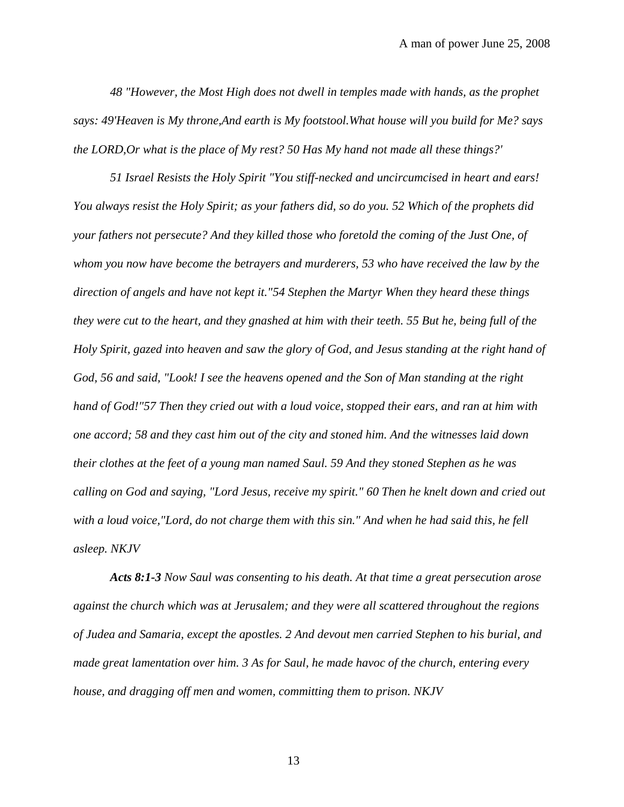*48 "However, the Most High does not dwell in temples made with hands, as the prophet says: 49'Heaven is My throne,And earth is My footstool.What house will you build for Me? says the LORD,Or what is the place of My rest? 50 Has My hand not made all these things?'* 

*51 Israel Resists the Holy Spirit "You stiff-necked and uncircumcised in heart and ears! You always resist the Holy Spirit; as your fathers did, so do you. 52 Which of the prophets did your fathers not persecute? And they killed those who foretold the coming of the Just One, of whom you now have become the betrayers and murderers, 53 who have received the law by the direction of angels and have not kept it."54 Stephen the Martyr When they heard these things they were cut to the heart, and they gnashed at him with their teeth. 55 But he, being full of the Holy Spirit, gazed into heaven and saw the glory of God, and Jesus standing at the right hand of God, 56 and said, "Look! I see the heavens opened and the Son of Man standing at the right hand of God!"57 Then they cried out with a loud voice, stopped their ears, and ran at him with one accord; 58 and they cast him out of the city and stoned him. And the witnesses laid down their clothes at the feet of a young man named Saul. 59 And they stoned Stephen as he was calling on God and saying, "Lord Jesus, receive my spirit." 60 Then he knelt down and cried out with a loud voice,"Lord, do not charge them with this sin." And when he had said this, he fell asleep. NKJV*

*Acts 8:1-3 Now Saul was consenting to his death. At that time a great persecution arose against the church which was at Jerusalem; and they were all scattered throughout the regions of Judea and Samaria, except the apostles. 2 And devout men carried Stephen to his burial, and made great lamentation over him. 3 As for Saul, he made havoc of the church, entering every house, and dragging off men and women, committing them to prison. NKJV*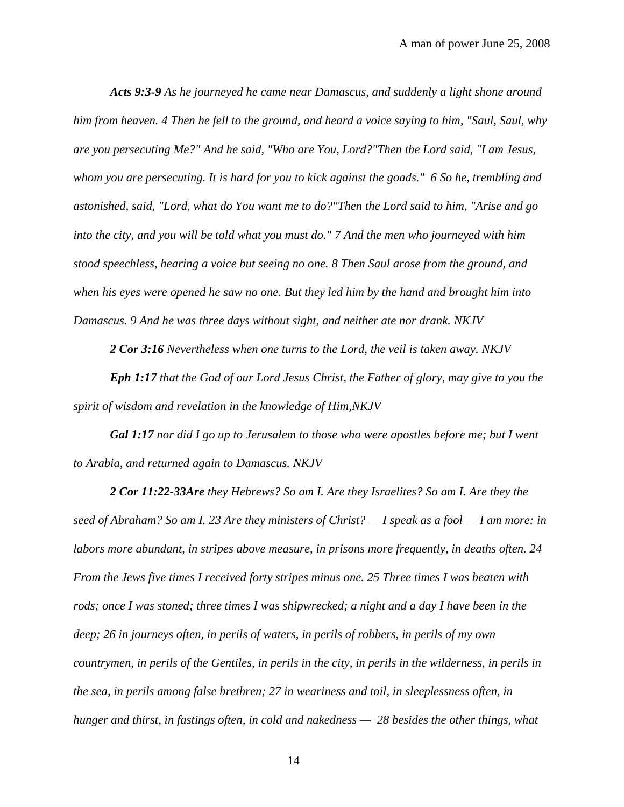*Acts 9:3-9 As he journeyed he came near Damascus, and suddenly a light shone around him from heaven. 4 Then he fell to the ground, and heard a voice saying to him, "Saul, Saul, why are you persecuting Me?" And he said, "Who are You, Lord?"Then the Lord said, "I am Jesus, whom you are persecuting. It is hard for you to kick against the goads." 6 So he, trembling and astonished, said, "Lord, what do You want me to do?"Then the Lord said to him, "Arise and go into the city, and you will be told what you must do." 7 And the men who journeyed with him stood speechless, hearing a voice but seeing no one. 8 Then Saul arose from the ground, and when his eyes were opened he saw no one. But they led him by the hand and brought him into Damascus. 9 And he was three days without sight, and neither ate nor drank. NKJV*

*2 Cor 3:16 Nevertheless when one turns to the Lord, the veil is taken away. NKJV*

*Eph 1:17 that the God of our Lord Jesus Christ, the Father of glory, may give to you the spirit of wisdom and revelation in the knowledge of Him,NKJV*

*Gal 1:17 nor did I go up to Jerusalem to those who were apostles before me; but I went to Arabia, and returned again to Damascus. NKJV*

*2 Cor 11:22-33Are they Hebrews? So am I. Are they Israelites? So am I. Are they the seed of Abraham? So am I. 23 Are they ministers of Christ? — I speak as a fool — I am more: in labors more abundant, in stripes above measure, in prisons more frequently, in deaths often. 24 From the Jews five times I received forty stripes minus one. 25 Three times I was beaten with rods; once I was stoned; three times I was shipwrecked; a night and a day I have been in the deep; 26 in journeys often, in perils of waters, in perils of robbers, in perils of my own countrymen, in perils of the Gentiles, in perils in the city, in perils in the wilderness, in perils in the sea, in perils among false brethren; 27 in weariness and toil, in sleeplessness often, in hunger and thirst, in fastings often, in cold and nakedness — 28 besides the other things, what*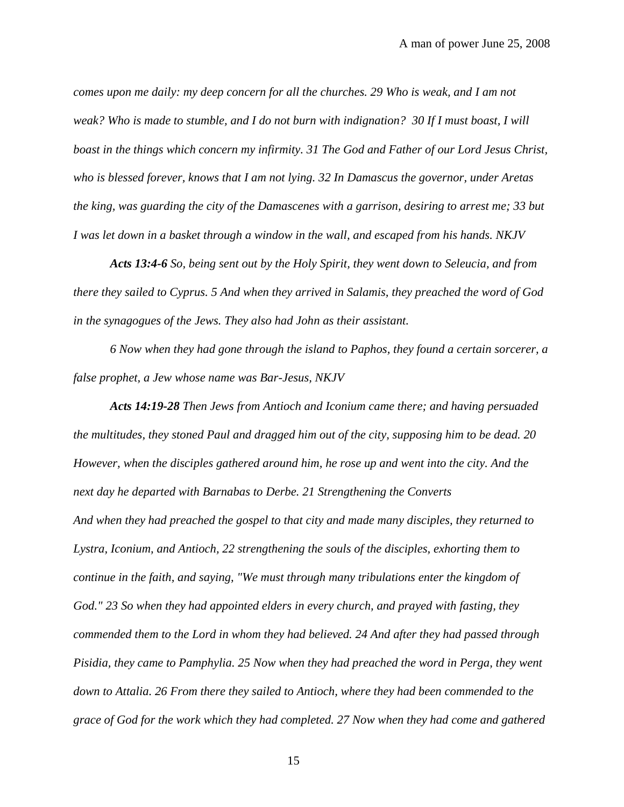*comes upon me daily: my deep concern for all the churches. 29 Who is weak, and I am not weak? Who is made to stumble, and I do not burn with indignation? 30 If I must boast, I will boast in the things which concern my infirmity. 31 The God and Father of our Lord Jesus Christ, who is blessed forever, knows that I am not lying. 32 In Damascus the governor, under Aretas the king, was guarding the city of the Damascenes with a garrison, desiring to arrest me; 33 but I was let down in a basket through a window in the wall, and escaped from his hands. NKJV*

*Acts 13:4-6 So, being sent out by the Holy Spirit, they went down to Seleucia, and from there they sailed to Cyprus. 5 And when they arrived in Salamis, they preached the word of God in the synagogues of the Jews. They also had John as their assistant.* 

*6 Now when they had gone through the island to Paphos, they found a certain sorcerer, a false prophet, a Jew whose name was Bar-Jesus, NKJV*

*Acts 14:19-28 Then Jews from Antioch and Iconium came there; and having persuaded the multitudes, they stoned Paul and dragged him out of the city, supposing him to be dead. 20 However, when the disciples gathered around him, he rose up and went into the city. And the next day he departed with Barnabas to Derbe. 21 Strengthening the Converts And when they had preached the gospel to that city and made many disciples, they returned to Lystra, Iconium, and Antioch, 22 strengthening the souls of the disciples, exhorting them to continue in the faith, and saying, "We must through many tribulations enter the kingdom of God." 23 So when they had appointed elders in every church, and prayed with fasting, they commended them to the Lord in whom they had believed. 24 And after they had passed through Pisidia, they came to Pamphylia. 25 Now when they had preached the word in Perga, they went down to Attalia. 26 From there they sailed to Antioch, where they had been commended to the grace of God for the work which they had completed. 27 Now when they had come and gathered*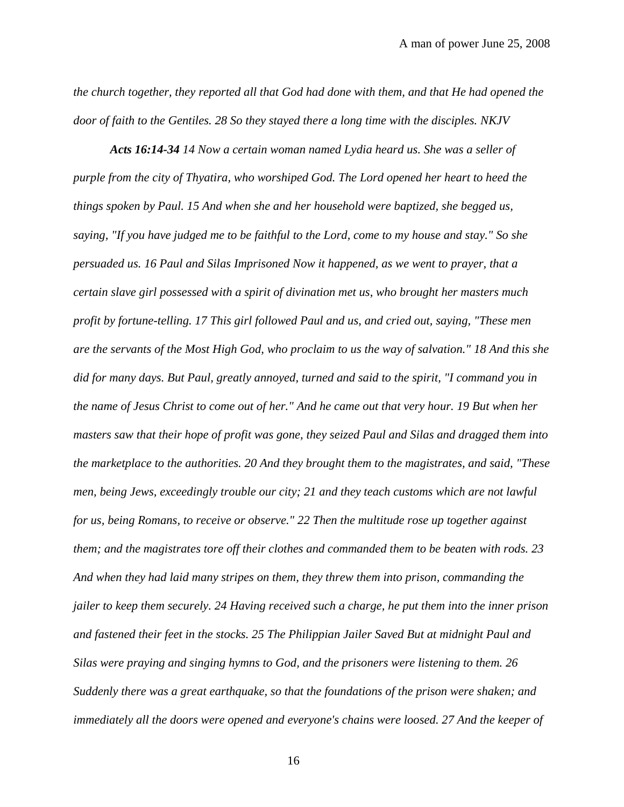*the church together, they reported all that God had done with them, and that He had opened the door of faith to the Gentiles. 28 So they stayed there a long time with the disciples. NKJV*

*Acts 16:14-34 14 Now a certain woman named Lydia heard us. She was a seller of purple from the city of Thyatira, who worshiped God. The Lord opened her heart to heed the things spoken by Paul. 15 And when she and her household were baptized, she begged us, saying, "If you have judged me to be faithful to the Lord, come to my house and stay." So she persuaded us. 16 Paul and Silas Imprisoned Now it happened, as we went to prayer, that a certain slave girl possessed with a spirit of divination met us, who brought her masters much profit by fortune-telling. 17 This girl followed Paul and us, and cried out, saying, "These men are the servants of the Most High God, who proclaim to us the way of salvation." 18 And this she did for many days. But Paul, greatly annoyed, turned and said to the spirit, "I command you in the name of Jesus Christ to come out of her." And he came out that very hour. 19 But when her masters saw that their hope of profit was gone, they seized Paul and Silas and dragged them into the marketplace to the authorities. 20 And they brought them to the magistrates, and said, "These men, being Jews, exceedingly trouble our city; 21 and they teach customs which are not lawful for us, being Romans, to receive or observe." 22 Then the multitude rose up together against them; and the magistrates tore off their clothes and commanded them to be beaten with rods. 23 And when they had laid many stripes on them, they threw them into prison, commanding the jailer to keep them securely. 24 Having received such a charge, he put them into the inner prison and fastened their feet in the stocks. 25 The Philippian Jailer Saved But at midnight Paul and Silas were praying and singing hymns to God, and the prisoners were listening to them. 26 Suddenly there was a great earthquake, so that the foundations of the prison were shaken; and immediately all the doors were opened and everyone's chains were loosed. 27 And the keeper of*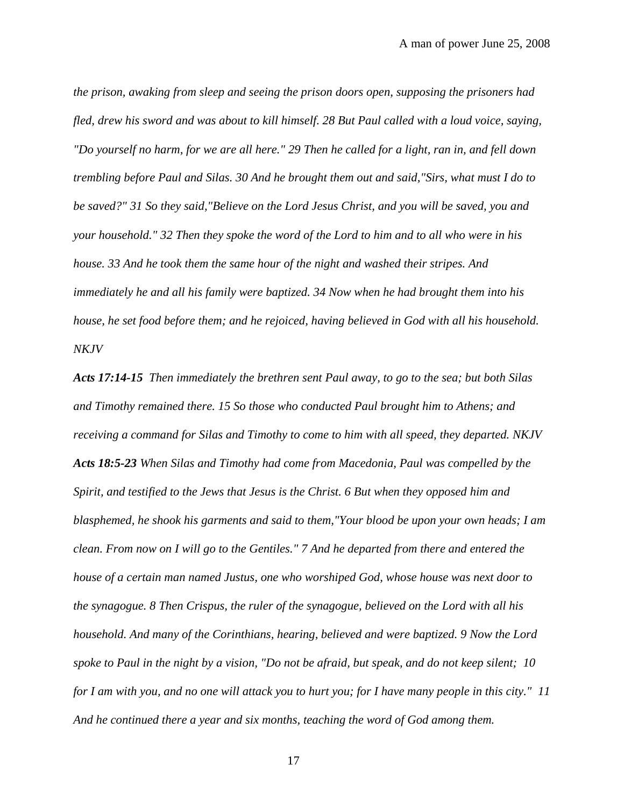*the prison, awaking from sleep and seeing the prison doors open, supposing the prisoners had fled, drew his sword and was about to kill himself. 28 But Paul called with a loud voice, saying, "Do yourself no harm, for we are all here." 29 Then he called for a light, ran in, and fell down trembling before Paul and Silas. 30 And he brought them out and said,"Sirs, what must I do to be saved?" 31 So they said,"Believe on the Lord Jesus Christ, and you will be saved, you and your household." 32 Then they spoke the word of the Lord to him and to all who were in his house. 33 And he took them the same hour of the night and washed their stripes. And immediately he and all his family were baptized. 34 Now when he had brought them into his house, he set food before them; and he rejoiced, having believed in God with all his household. NKJV*

*Acts 17:14-15 Then immediately the brethren sent Paul away, to go to the sea; but both Silas and Timothy remained there. 15 So those who conducted Paul brought him to Athens; and receiving a command for Silas and Timothy to come to him with all speed, they departed. NKJV Acts 18:5-23 When Silas and Timothy had come from Macedonia, Paul was compelled by the Spirit, and testified to the Jews that Jesus is the Christ. 6 But when they opposed him and blasphemed, he shook his garments and said to them,"Your blood be upon your own heads; I am clean. From now on I will go to the Gentiles." 7 And he departed from there and entered the house of a certain man named Justus, one who worshiped God, whose house was next door to the synagogue. 8 Then Crispus, the ruler of the synagogue, believed on the Lord with all his household. And many of the Corinthians, hearing, believed and were baptized. 9 Now the Lord spoke to Paul in the night by a vision, "Do not be afraid, but speak, and do not keep silent; 10 for I am with you, and no one will attack you to hurt you; for I have many people in this city." 11 And he continued there a year and six months, teaching the word of God among them.*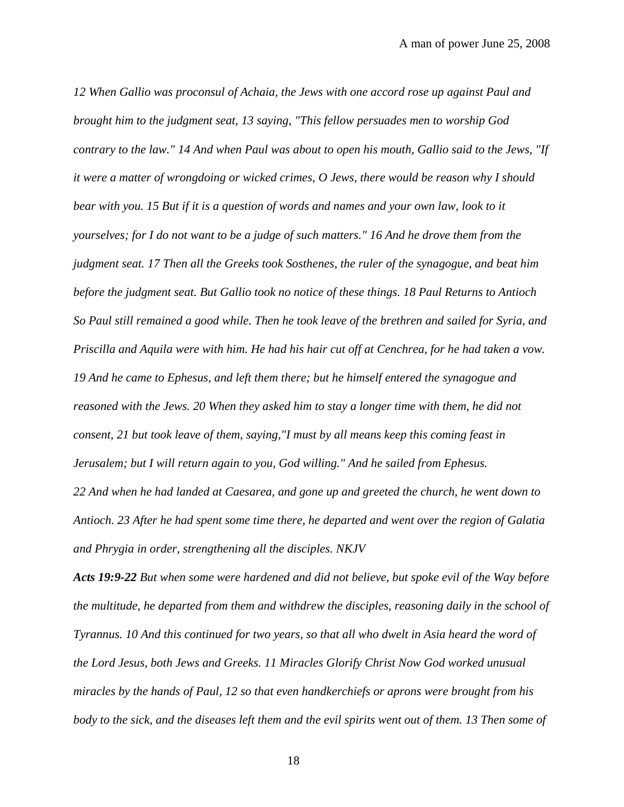*12 When Gallio was proconsul of Achaia, the Jews with one accord rose up against Paul and brought him to the judgment seat, 13 saying, "This fellow persuades men to worship God contrary to the law." 14 And when Paul was about to open his mouth, Gallio said to the Jews, "If it were a matter of wrongdoing or wicked crimes, O Jews, there would be reason why I should bear with you. 15 But if it is a question of words and names and your own law, look to it yourselves; for I do not want to be a judge of such matters." 16 And he drove them from the judgment seat. 17 Then all the Greeks took Sosthenes, the ruler of the synagogue, and beat him before the judgment seat. But Gallio took no notice of these things. 18 Paul Returns to Antioch So Paul still remained a good while. Then he took leave of the brethren and sailed for Syria, and Priscilla and Aquila were with him. He had his hair cut off at Cenchrea, for he had taken a vow. 19 And he came to Ephesus, and left them there; but he himself entered the synagogue and reasoned with the Jews. 20 When they asked him to stay a longer time with them, he did not consent, 21 but took leave of them, saying,"I must by all means keep this coming feast in Jerusalem; but I will return again to you, God willing." And he sailed from Ephesus. 22 And when he had landed at Caesarea, and gone up and greeted the church, he went down to Antioch. 23 After he had spent some time there, he departed and went over the region of Galatia* 

*and Phrygia in order, strengthening all the disciples. NKJV*

*Acts 19:9-22 But when some were hardened and did not believe, but spoke evil of the Way before the multitude, he departed from them and withdrew the disciples, reasoning daily in the school of Tyrannus. 10 And this continued for two years, so that all who dwelt in Asia heard the word of the Lord Jesus, both Jews and Greeks. 11 Miracles Glorify Christ Now God worked unusual miracles by the hands of Paul, 12 so that even handkerchiefs or aprons were brought from his body to the sick, and the diseases left them and the evil spirits went out of them. 13 Then some of*